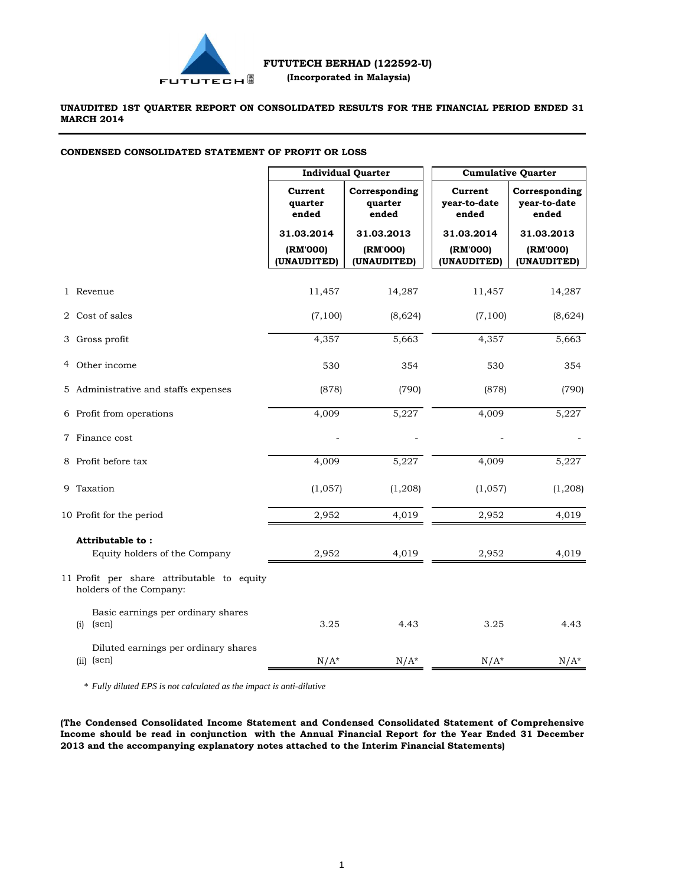

### **UNAUDITED 1ST QUARTER REPORT ON CONSOLIDATED RESULTS FOR THE FINANCIAL PERIOD ENDED 31 MARCH 2014**

### **CONDENSED CONSOLIDATED STATEMENT OF PROFIT OR LOSS**

|                                                                       | <b>Individual Quarter</b>             |                                       | <b>Cumulative Quarter</b>             |                                        |  |
|-----------------------------------------------------------------------|---------------------------------------|---------------------------------------|---------------------------------------|----------------------------------------|--|
|                                                                       | Current<br>quarter<br>ended           | Corresponding<br>quarter<br>ended     | Current<br>vear-to-date<br>ended      | Corresponding<br>year-to-date<br>ended |  |
|                                                                       | 31.03.2014<br>(RM'000)<br>(UNAUDITED) | 31.03.2013<br>(RM'000)<br>(UNAUDITED) | 31.03.2014<br>(RM'000)<br>(UNAUDITED) | 31.03.2013<br>(RM'000)<br>(UNAUDITED)  |  |
|                                                                       |                                       |                                       |                                       |                                        |  |
| 1 Revenue                                                             | 11,457                                | 14,287                                | 11,457                                | 14,287                                 |  |
| 2 Cost of sales                                                       | (7, 100)                              | (8,624)                               | (7,100)                               | (8,624)                                |  |
| 3 Gross profit                                                        | 4,357                                 | 5,663                                 | 4,357                                 | 5,663                                  |  |
| 4 Other income                                                        | 530                                   | 354                                   | 530                                   | 354                                    |  |
| 5 Administrative and staffs expenses                                  | (878)                                 | (790)                                 | (878)                                 | (790)                                  |  |
| 6 Profit from operations                                              | 4,009                                 | 5,227                                 | 4,009                                 | 5,227                                  |  |
| 7 Finance cost                                                        |                                       |                                       |                                       |                                        |  |
| 8 Profit before tax                                                   | 4,009                                 | 5,227                                 | 4,009                                 | 5,227                                  |  |
| 9 Taxation                                                            | (1,057)                               | (1, 208)                              | (1,057)                               | (1,208)                                |  |
| 10 Profit for the period                                              | 2,952                                 | 4,019                                 | 2,952                                 | 4,019                                  |  |
| Attributable to:                                                      |                                       |                                       |                                       |                                        |  |
| Equity holders of the Company                                         | 2,952                                 | 4,019                                 | 2,952                                 | 4,019                                  |  |
| 11 Profit per share attributable to equity<br>holders of the Company: |                                       |                                       |                                       |                                        |  |
| Basic earnings per ordinary shares<br>(sen)<br>(i)                    | 3.25                                  | 4.43                                  | 3.25                                  | 4.43                                   |  |
| Diluted earnings per ordinary shares<br>$(ii)$ (sen)                  | $N/A^*$                               | $N/A^*$                               | $N/A^*$                               | $N/A^*$                                |  |

\* *Fully diluted EPS is not calculated as the impact is anti-dilutive*

**(The Condensed Consolidated Income Statement and Condensed Consolidated Statement of Comprehensive Income should be read in conjunction with the Annual Financial Report for the Year Ended 31 December 2013 and the accompanying explanatory notes attached to the Interim Financial Statements)**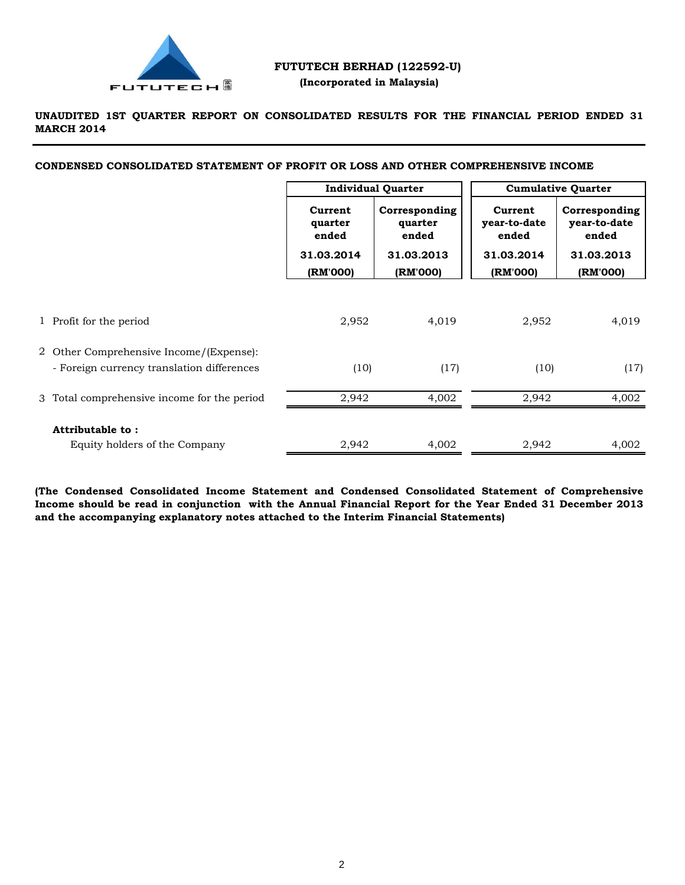

### **FUTUTECH BERHAD (122592-U) (Incorporated in Malaysia)**

**UNAUDITED 1ST QUARTER REPORT ON CONSOLIDATED RESULTS FOR THE FINANCIAL PERIOD ENDED 31 MARCH 2014**

**CONDENSED CONSOLIDATED STATEMENT OF PROFIT OR LOSS AND OTHER COMPREHENSIVE INCOME**

|                                                                                       | <b>Individual Quarter</b>   |                                   | <b>Cumulative Quarter</b>        |                                        |
|---------------------------------------------------------------------------------------|-----------------------------|-----------------------------------|----------------------------------|----------------------------------------|
|                                                                                       | Current<br>quarter<br>ended | Corresponding<br>quarter<br>ended | Current<br>year-to-date<br>ended | Corresponding<br>year-to-date<br>ended |
|                                                                                       | 31.03.2014                  | 31.03.2013                        | 31.03.2014                       | 31.03.2013                             |
|                                                                                       | (RM'000)                    | (RM'000)                          | (RM'000)                         | (RM'000)                               |
| 1 Profit for the period                                                               | 2,952                       | 4,019                             | 2,952                            | 4,019                                  |
| 2 Other Comprehensive Income/(Expense):<br>- Foreign currency translation differences | (10)                        | (17)                              | (10)                             | (17)                                   |
| 3 Total comprehensive income for the period                                           | 2,942                       | 4.002                             | 2,942                            | 4,002                                  |
| Attributable to:<br>Equity holders of the Company                                     | 2,942                       | 4,002                             | 2,942                            | 4,002                                  |

**(The Condensed Consolidated Income Statement and Condensed Consolidated Statement of Comprehensive** Income should be read in conjunction with the Annual Financial Report for the Year Ended 31 December 2013 **and the accompanying explanatory notes attached to the Interim Financial Statements)**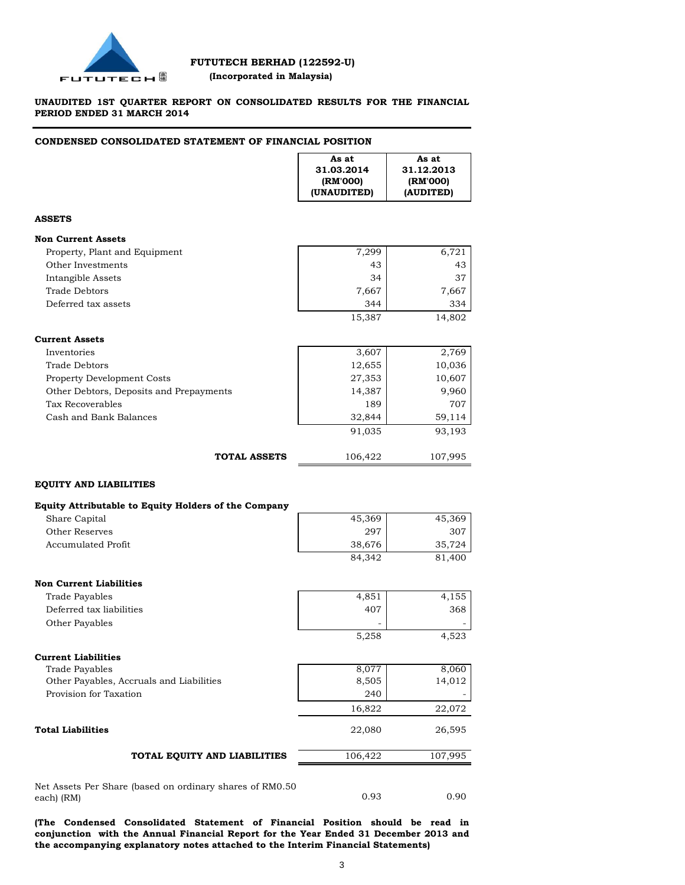

### **UNAUDITED 1ST QUARTER REPORT ON CONSOLIDATED RESULTS FOR THE FINANCIAL PERIOD ENDED 31 MARCH 2014**

### **CONDENSED CONSOLIDATED STATEMENT OF FINANCIAL POSITION**

|                                                      | As at<br>31.03.2014<br>(RM'000)<br>(UNAUDITED) | As at<br>31.12.2013<br>(RM'000)<br>(AUDITED) |
|------------------------------------------------------|------------------------------------------------|----------------------------------------------|
| <b>ASSETS</b>                                        |                                                |                                              |
| <b>Non Current Assets</b>                            |                                                |                                              |
| Property, Plant and Equipment                        | 7,299                                          | 6,721                                        |
| Other Investments                                    | 43                                             | 43                                           |
| Intangible Assets                                    | 34                                             | 37                                           |
| <b>Trade Debtors</b>                                 | 7,667                                          | 7,667                                        |
| Deferred tax assets                                  | 344                                            | 334                                          |
|                                                      | 15,387                                         | 14,802                                       |
| <b>Current Assets</b>                                |                                                |                                              |
| Inventories                                          | 3,607                                          | 2,769                                        |
| <b>Trade Debtors</b>                                 | 12,655                                         | 10,036                                       |
| Property Development Costs                           | 27,353                                         | 10,607                                       |
| Other Debtors, Deposits and Prepayments              | 14,387                                         | 9,960                                        |
| Tax Recoverables                                     | 189                                            | 707                                          |
| Cash and Bank Balances                               | 32,844                                         | 59,114                                       |
|                                                      | 91,035                                         | 93,193                                       |
| <b>TOTAL ASSETS</b>                                  | 106,422                                        | 107,995                                      |
| <b>EQUITY AND LIABILITIES</b>                        |                                                |                                              |
| Equity Attributable to Equity Holders of the Company |                                                |                                              |
| Share Capital                                        | 45,369                                         | 45,369                                       |
| Other Reserves                                       | 297                                            | 307                                          |
| <b>Accumulated Profit</b>                            | 38,676                                         | 35,724                                       |
|                                                      | 84,342                                         | 81,400                                       |
|                                                      |                                                |                                              |
| <b>Non Current Liabilities</b>                       |                                                |                                              |
| Trade Payables                                       | 4,851                                          | 4,155                                        |
| Deferred tax liabilities                             | 407                                            | 368                                          |
| Other Payables                                       | 5,258                                          | 4,523                                        |
|                                                      |                                                |                                              |
| <b>Current Liabilities</b>                           |                                                |                                              |
| <b>Trade Payables</b>                                | 8,077                                          | 8,060                                        |
| Other Payables, Accruals and Liabilities             | 8,505                                          | 14,012                                       |
| Provision for Taxation                               | 240                                            |                                              |
|                                                      | 16,822                                         | 22,072                                       |
| <b>Total Liabilities</b>                             | 22,080                                         | 26,595                                       |
| TOTAL EQUITY AND LIABILITIES                         | 106,422                                        | 107,995                                      |

Net Assets Per Share (based on ordinary shares of RM0.50 each) (RM)

**(The Condensed Consolidated Statement of Financial Position should be read in conjunction with the Annual Financial Report for the Year Ended 31 December 2013 and the accompanying explanatory notes attached to the Interim Financial Statements)**

0.93 0.90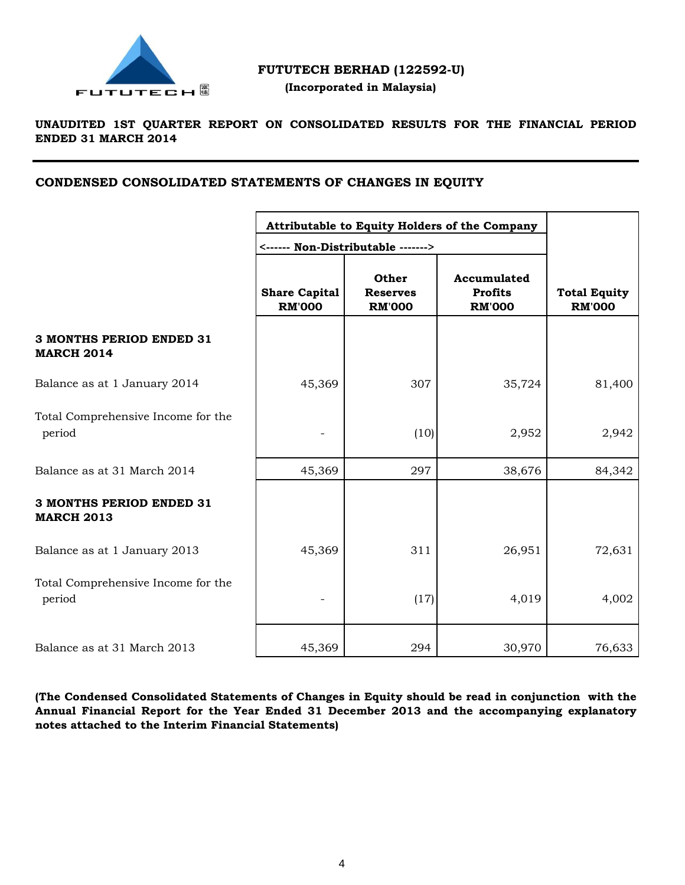

### **UNAUDITED 1ST QUARTER REPORT ON CONSOLIDATED RESULTS FOR THE FINANCIAL PERIOD ENDED 31 MARCH 2014**

## **CONDENSED CONSOLIDATED STATEMENTS OF CHANGES IN EQUITY**

|                                                      | Attributable to Equity Holders of the Company<br><------ Non-Distributable -------> |                                                  |                                                |                                      |
|------------------------------------------------------|-------------------------------------------------------------------------------------|--------------------------------------------------|------------------------------------------------|--------------------------------------|
|                                                      | <b>Share Capital</b><br><b>RM'000</b>                                               | <b>Other</b><br><b>Reserves</b><br><b>RM'000</b> | Accumulated<br><b>Profits</b><br><b>RM'000</b> | <b>Total Equity</b><br><b>RM'000</b> |
| <b>3 MONTHS PERIOD ENDED 31</b><br><b>MARCH 2014</b> |                                                                                     |                                                  |                                                |                                      |
| Balance as at 1 January 2014                         | 45,369                                                                              | 307                                              | 35,724                                         | 81,400                               |
| Total Comprehensive Income for the<br>period         |                                                                                     | (10)                                             | 2,952                                          | 2,942                                |
| Balance as at 31 March 2014                          | 45,369                                                                              | 297                                              | 38,676                                         | 84,342                               |
| <b>3 MONTHS PERIOD ENDED 31</b><br><b>MARCH 2013</b> |                                                                                     |                                                  |                                                |                                      |
| Balance as at 1 January 2013                         | 45,369                                                                              | 311                                              | 26,951                                         | 72,631                               |
| Total Comprehensive Income for the<br>period         |                                                                                     | (17)                                             | 4,019                                          | 4,002                                |
| Balance as at 31 March 2013                          | 45,369                                                                              | 294                                              | 30,970                                         | 76,633                               |

**(The Condensed Consolidated Statements of Changes in Equity should be read in conjunction with the Annual Financial Report for the Year Ended 31 December 2013 and the accompanying explanatory notes attached to the Interim Financial Statements)**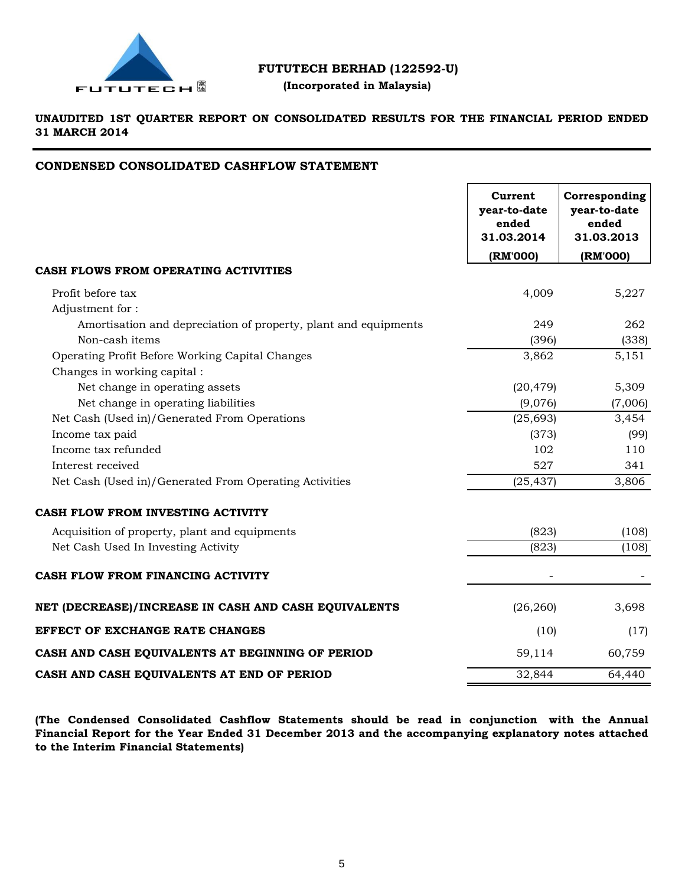

# **FUTUTECH BERHAD (122592-U)**

## **(Incorporated in Malaysia)**

**UNAUDITED 1ST QUARTER REPORT ON CONSOLIDATED RESULTS FOR THE FINANCIAL PERIOD ENDED 31 MARCH 2014**

### **CONDENSED CONSOLIDATED CASHFLOW STATEMENT**

|                                                                 | Current<br>year-to-date<br>ended<br>31.03.2014 | Corresponding<br>year-to-date<br>ended<br>31.03.2013 |
|-----------------------------------------------------------------|------------------------------------------------|------------------------------------------------------|
|                                                                 | (RM'000)                                       | (RM'000)                                             |
| CASH FLOWS FROM OPERATING ACTIVITIES                            |                                                |                                                      |
| Profit before tax                                               | 4,009                                          | 5,227                                                |
| Adjustment for:                                                 |                                                |                                                      |
| Amortisation and depreciation of property, plant and equipments | 249                                            | 262                                                  |
| Non-cash items                                                  | (396)                                          | (338)                                                |
| Operating Profit Before Working Capital Changes                 | 3,862                                          | 5,151                                                |
| Changes in working capital :                                    |                                                |                                                      |
| Net change in operating assets                                  | (20, 479)                                      | 5,309                                                |
| Net change in operating liabilities                             | (9,076)                                        | (7,006)                                              |
| Net Cash (Used in)/Generated From Operations                    | (25, 693)                                      | 3,454                                                |
| Income tax paid                                                 | (373)                                          | (99)                                                 |
| Income tax refunded                                             | 102                                            | 110                                                  |
| Interest received                                               | 527                                            | 341                                                  |
| Net Cash (Used in)/Generated From Operating Activities          | (25, 437)                                      | 3,806                                                |
| CASH FLOW FROM INVESTING ACTIVITY                               |                                                |                                                      |
| Acquisition of property, plant and equipments                   | (823)                                          | (108)                                                |
| Net Cash Used In Investing Activity                             | (823)                                          | (108)                                                |
| CASH FLOW FROM FINANCING ACTIVITY                               |                                                |                                                      |
| NET (DECREASE)/INCREASE IN CASH AND CASH EQUIVALENTS            | (26, 260)                                      | 3,698                                                |
| <b>EFFECT OF EXCHANGE RATE CHANGES</b>                          | (10)                                           | (17)                                                 |
| CASH AND CASH EQUIVALENTS AT BEGINNING OF PERIOD                | 59,114                                         | 60,759                                               |
| CASH AND CASH EQUIVALENTS AT END OF PERIOD                      | 32,844                                         | 64,440                                               |

**(The Condensed Consolidated Cashflow Statements should be read in conjunction with the Annual Financial Report for the Year Ended 31 December 2013 and the accompanying explanatory notes attached to the Interim Financial Statements)**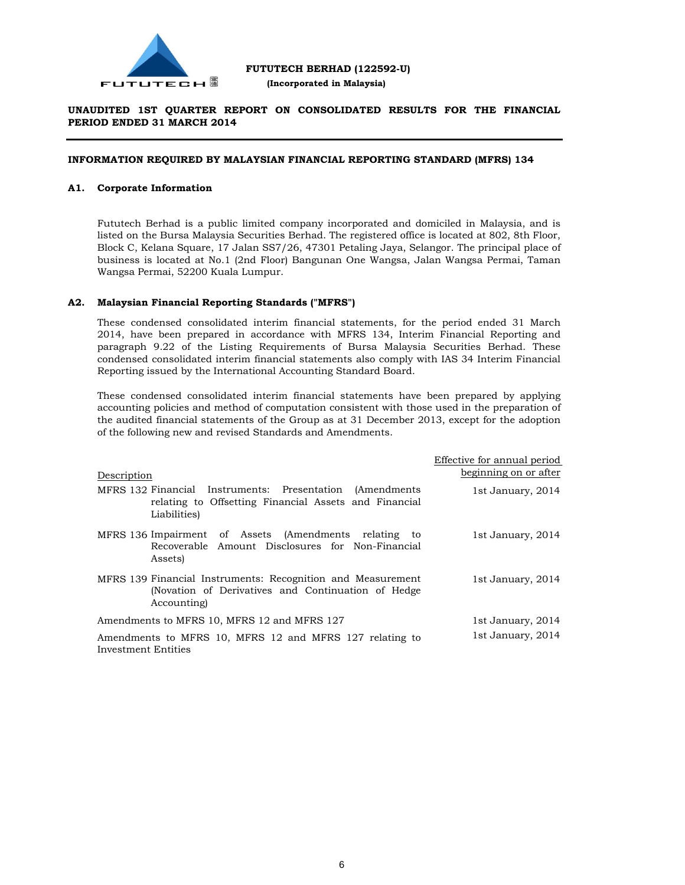

### **UNAUDITED 1ST QUARTER REPORT ON CONSOLIDATED RESULTS FOR THE FINANCIAL PERIOD ENDED 31 MARCH 2014**

### **INFORMATION REQUIRED BY MALAYSIAN FINANCIAL REPORTING STANDARD (MFRS) 134**

### **A1. Corporate Information**

Fututech Berhad is a public limited company incorporated and domiciled in Malaysia, and is listed on the Bursa Malaysia Securities Berhad. The registered office is located at 802, 8th Floor, Block C, Kelana Square, 17 Jalan SS7/26, 47301 Petaling Jaya, Selangor. The principal place of business is located at No.1 (2nd Floor) Bangunan One Wangsa, Jalan Wangsa Permai, Taman Wangsa Permai, 52200 Kuala Lumpur.

### **A2. Malaysian Financial Reporting Standards ("MFRS")**

These condensed consolidated interim financial statements, for the period ended 31 March 2014, have been prepared in accordance with MFRS 134, Interim Financial Reporting and paragraph 9.22 of the Listing Requirements of Bursa Malaysia Securities Berhad. These condensed consolidated interim financial statements also comply with IAS 34 Interim Financial Reporting issued by the International Accounting Standard Board.

These condensed consolidated interim financial statements have been prepared by applying accounting policies and method of computation consistent with those used in the preparation of the audited financial statements of the Group as at 31 December 2013, except for the adoption of the following new and revised Standards and Amendments.

| Description                                                                                                                        | Effective for annual period<br>beginning on or after |
|------------------------------------------------------------------------------------------------------------------------------------|------------------------------------------------------|
| MFRS 132 Financial Instruments: Presentation (Amendments)<br>relating to Offsetting Financial Assets and Financial<br>Liabilities) | 1st January, 2014                                    |
| MFRS 136 Impairment of Assets (Amendments relating to<br>Recoverable Amount Disclosures for Non-Financial<br>Assets)               | 1st January, 2014                                    |
| MFRS 139 Financial Instruments: Recognition and Measurement<br>(Novation of Derivatives and Continuation of Hedge<br>Accounting    | 1st January, 2014                                    |
| Amendments to MFRS 10, MFRS 12 and MFRS 127                                                                                        | 1st January, 2014                                    |
| Amendments to MFRS 10, MFRS 12 and MFRS 127 relating to<br>Investment Entities                                                     | 1st January, 2014                                    |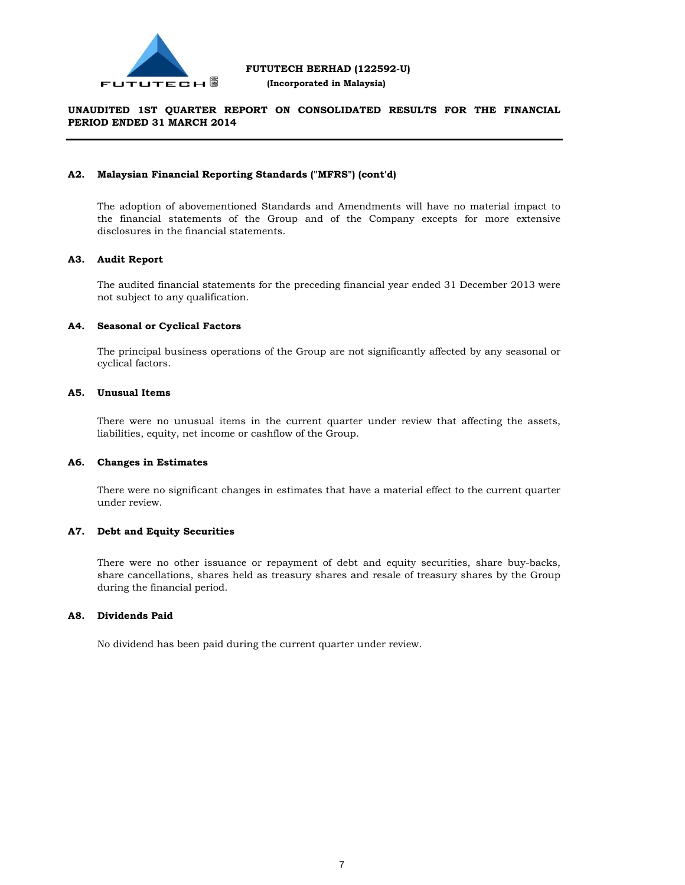

### **UNAUDITED 1ST QUARTER REPORT ON CONSOLIDATED RESULTS FOR THE FINANCIAL PERIOD ENDED 31 MARCH 2014**

#### **A2. Malaysian Financial Reporting Standards ("MFRS") (cont'd)**

The adoption of abovementioned Standards and Amendments will have no material impact to the financial statements of the Group and of the Company excepts for more extensive disclosures in the financial statements.

### **A3. Audit Report**

The audited financial statements for the preceding financial year ended 31 December 2013 were not subject to any qualification.

### **A4. Seasonal or Cyclical Factors**

The principal business operations of the Group are not significantly affected by any seasonal or cyclical factors.

### **A5. Unusual Items**

There were no unusual items in the current quarter under review that affecting the assets, liabilities, equity, net income or cashflow of the Group.

#### **A6. Changes in Estimates**

There were no significant changes in estimates that have a material effect to the current quarter under review.

### **A7. Debt and Equity Securities**

There were no other issuance or repayment of debt and equity securities, share buy-backs, share cancellations, shares held as treasury shares and resale of treasury shares by the Group during the financial period.

#### **A8. Dividends Paid**

No dividend has been paid during the current quarter under review.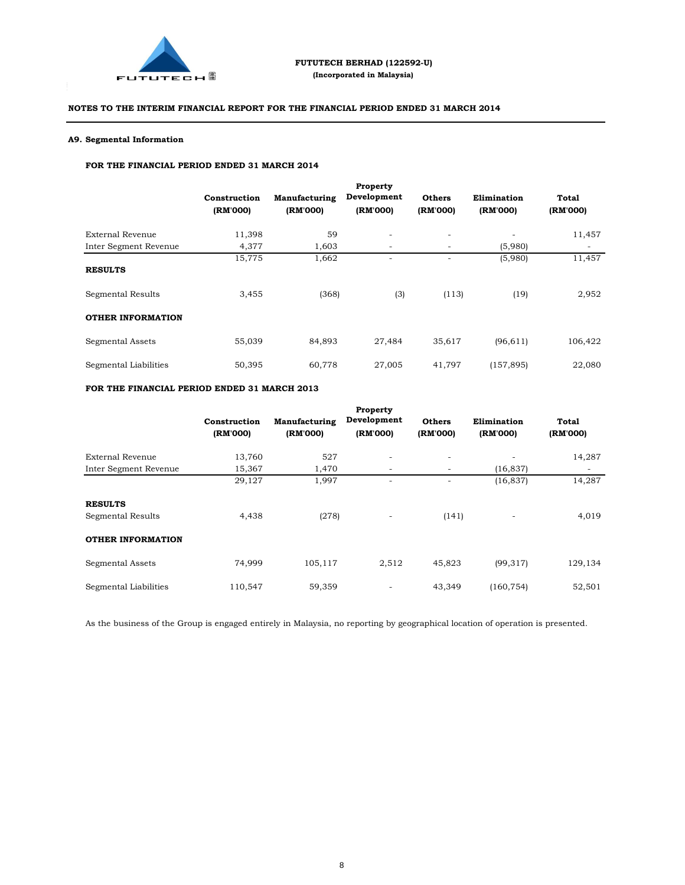

### **A9. Segmental Information**

L.

#### **FOR THE FINANCIAL PERIOD ENDED 31 MARCH 2014**

|                          |                          |                           | Property                 |                           |                         |                   |
|--------------------------|--------------------------|---------------------------|--------------------------|---------------------------|-------------------------|-------------------|
|                          | Construction<br>(RM'000) | Manufacturing<br>(RM'000) | Development<br>(RM'000)  | <b>Others</b><br>(RM'000) | Elimination<br>(RM'000) | Total<br>(RM'000) |
|                          |                          |                           |                          |                           |                         |                   |
| External Revenue         | 11,398                   | 59                        | $\overline{\phantom{a}}$ | $\overline{\phantom{a}}$  |                         | 11,457            |
| Inter Segment Revenue    | 4,377                    | 1.603                     | -                        | $\overline{\phantom{a}}$  | (5,980)                 |                   |
|                          | 15,775                   | 1,662                     | ۰                        | ٠                         | (5,980)                 | 11,457            |
| <b>RESULTS</b>           |                          |                           |                          |                           |                         |                   |
| Segmental Results        | 3,455                    | (368)                     | (3)                      | (113)                     | (19)                    | 2,952             |
| <b>OTHER INFORMATION</b> |                          |                           |                          |                           |                         |                   |
| Segmental Assets         | 55,039                   | 84,893                    | 27,484                   | 35,617                    | (96, 611)               | 106,422           |
| Segmental Liabilities    | 50,395                   | 60,778                    | 27,005                   | 41,797                    | (157, 895)              | 22,080            |

### **FOR THE FINANCIAL PERIOD ENDED 31 MARCH 2013**

|                                     | Construction<br>(RM'000) | Manufacturing<br>(RM'000) | Property<br>Development<br>(RM'000) | <b>Others</b><br>(RM'000) | Elimination<br>(RM'000)  | Total<br>(RM'000)        |
|-------------------------------------|--------------------------|---------------------------|-------------------------------------|---------------------------|--------------------------|--------------------------|
| External Revenue                    | 13,760                   | 527                       | ٠                                   | -                         | ٠                        | 14,287                   |
| Inter Segment Revenue               | 15,367                   | 1,470                     | -                                   | -                         | (16, 837)                | $\overline{\phantom{a}}$ |
|                                     | 29,127                   | 1,997                     | ٠                                   | ٠                         | (16, 837)                | 14,287                   |
| <b>RESULTS</b><br>Segmental Results | 4,438                    | (278)                     | $\overline{\phantom{a}}$            | (141)                     | $\overline{\phantom{a}}$ | 4,019                    |
| <b>OTHER INFORMATION</b>            |                          |                           |                                     |                           |                          |                          |
| Segmental Assets                    | 74,999                   | 105,117                   | 2,512                               | 45,823                    | (99, 317)                | 129,134                  |
| Segmental Liabilities               | 110,547                  | 59,359                    | ٠                                   | 43.349                    | (160, 754)               | 52,501                   |

As the business of the Group is engaged entirely in Malaysia, no reporting by geographical location of operation is presented.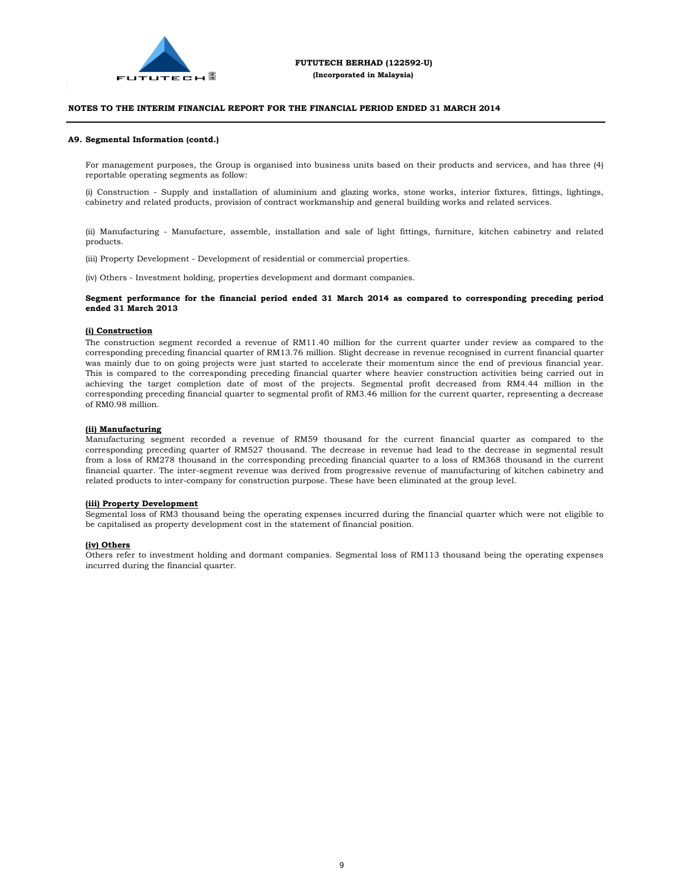

#### **A9. Segmental Information (contd.)**

L.

For management purposes, the Group is organised into business units based on their products and services, and has three (4) reportable operating segments as follow:

(i) Construction - Supply and installation of aluminium and glazing works, stone works, interior fixtures, fittings, lightings, cabinetry and related products, provision of contract workmanship and general building works and related services.

(ii) Manufacturing - Manufacture, assemble, installation and sale of light fittings, furniture, kitchen cabinetry and related products.

(iii) Property Development - Development of residential or commercial properties.

(iv) Others - Investment holding, properties development and dormant companies.

#### **Segment performance for the financial period ended 31 March 2014 as compared to corresponding preceding period ended 31 March 2013**

#### **(i) Construction**

The construction segment recorded a revenue of RM11.40 million for the current quarter under review as compared to the corresponding preceding financial quarter of RM13.76 million. Slight decrease in revenue recognised in current financial quarter was mainly due to on going projects were just started to accelerate their momentum since the end of previous financial year. This is compared to the corresponding preceding financial quarter where heavier construction activities being carried out in achieving the target completion date of most of the projects. Segmental profit decreased from RM4.44 million in the corresponding preceding financial quarter to segmental profit of RM3.46 million for the current quarter, representing a decrease of RM0.98 million.

#### **(ii) Manufacturing**

Manufacturing segment recorded a revenue of RM59 thousand for the current financial quarter as compared to the corresponding preceding quarter of RM527 thousand. The decrease in revenue had lead to the decrease in segmental result from a loss of RM278 thousand in the corresponding preceding financial quarter to a loss of RM368 thousand in the current financial quarter. The inter-segment revenue was derived from progressive revenue of manufacturing of kitchen cabinetry and related products to inter-company for construction purpose. These have been eliminated at the group level.

#### **(iii) Property Development**

Segmental loss of RM3 thousand being the operating expenses incurred during the financial quarter which were not eligible to be capitalised as property development cost in the statement of financial position.

#### **(iv) Others**

Others refer to investment holding and dormant companies. Segmental loss of RM113 thousand being the operating expenses incurred during the financial quarter.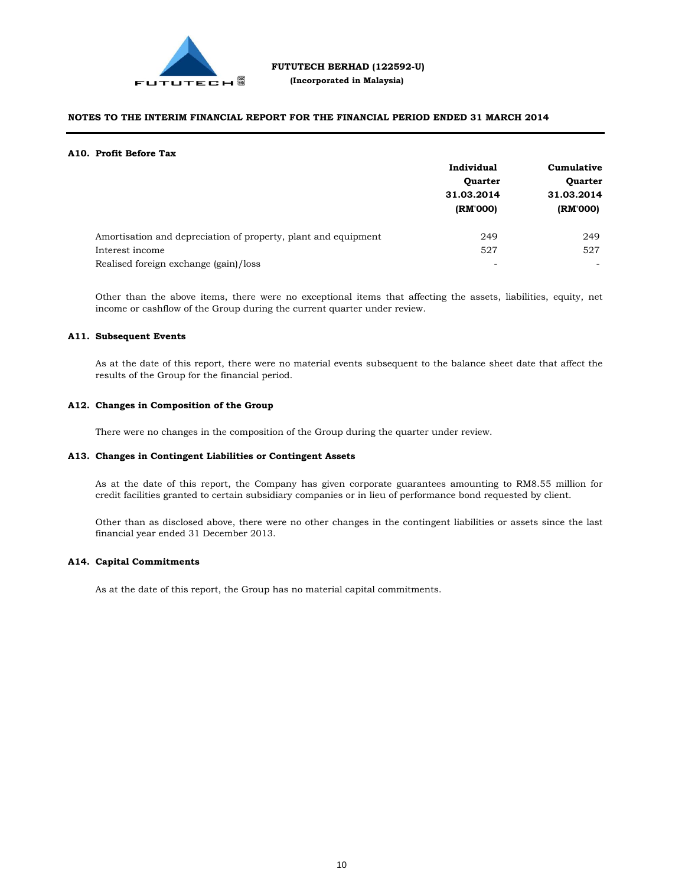

#### **A10. Profit Before Tax**

|                                                                | Individual     | Cumulative<br><b>Quarter</b><br>31.03.2014 |  |
|----------------------------------------------------------------|----------------|--------------------------------------------|--|
|                                                                | <b>Quarter</b> |                                            |  |
|                                                                | 31.03.2014     |                                            |  |
|                                                                | (RM'000)       | (RM'000)                                   |  |
| Amortisation and depreciation of property, plant and equipment | 249            | 249                                        |  |
| Interest income                                                | 527            | 527                                        |  |
| Realised foreign exchange (gain)/loss                          | ٠              |                                            |  |

Other than the above items, there were no exceptional items that affecting the assets, liabilities, equity, net income or cashflow of the Group during the current quarter under review.

#### **A11. Subsequent Events**

As at the date of this report, there were no material events subsequent to the balance sheet date that affect the results of the Group for the financial period.

#### **A12. Changes in Composition of the Group**

There were no changes in the composition of the Group during the quarter under review.

#### **A13. Changes in Contingent Liabilities or Contingent Assets**

As at the date of this report, the Company has given corporate guarantees amounting to RM8.55 million for credit facilities granted to certain subsidiary companies or in lieu of performance bond requested by client.

Other than as disclosed above, there were no other changes in the contingent liabilities or assets since the last financial year ended 31 December 2013.

#### **A14. Capital Commitments**

As at the date of this report, the Group has no material capital commitments.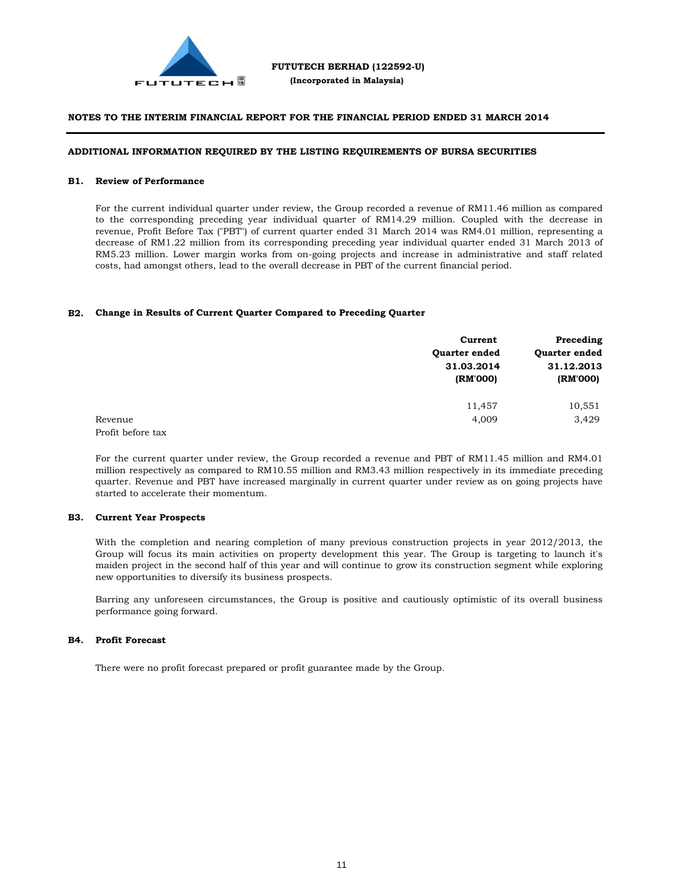

#### **ADDITIONAL INFORMATION REQUIRED BY THE LISTING REQUIREMENTS OF BURSA SECURITIES**

#### **B1. Review of Performance**

For the current individual quarter under review, the Group recorded a revenue of RM11.46 million as compared to the corresponding preceding year individual quarter of RM14.29 million. Coupled with the decrease in revenue, Profit Before Tax ("PBT") of current quarter ended 31 March 2014 was RM4.01 million, representing a decrease of RM1.22 million from its corresponding preceding year individual quarter ended 31 March 2013 of RM5.23 million. Lower margin works from on-going projects and increase in administrative and staff related costs, had amongst others, lead to the overall decrease in PBT of the current financial period.

#### **B2. Change in Results of Current Quarter Compared to Preceding Quarter**

|                   | Current              | Preceding            |  |
|-------------------|----------------------|----------------------|--|
|                   | <b>Ouarter ended</b> | <b>Ouarter ended</b> |  |
|                   | 31.03.2014           | 31.12.2013           |  |
|                   | (RM'000)             | (RM'000)             |  |
|                   | 11,457               | 10,551               |  |
| Revenue           | 4,009                | 3,429                |  |
| Profit before tax |                      |                      |  |

For the current quarter under review, the Group recorded a revenue and PBT of RM11.45 million and RM4.01 million respectively as compared to RM10.55 million and RM3.43 million respectively in its immediate preceding quarter. Revenue and PBT have increased marginally in current quarter under review as on going projects have started to accelerate their momentum.

#### **B3. Current Year Prospects**

With the completion and nearing completion of many previous construction projects in year 2012/2013, the Group will focus its main activities on property development this year. The Group is targeting to launch it's maiden project in the second half of this year and will continue to grow its construction segment while exploring new opportunities to diversify its business prospects.

Barring any unforeseen circumstances, the Group is positive and cautiously optimistic of its overall business performance going forward.

#### **B4. Profit Forecast**

There were no profit forecast prepared or profit guarantee made by the Group.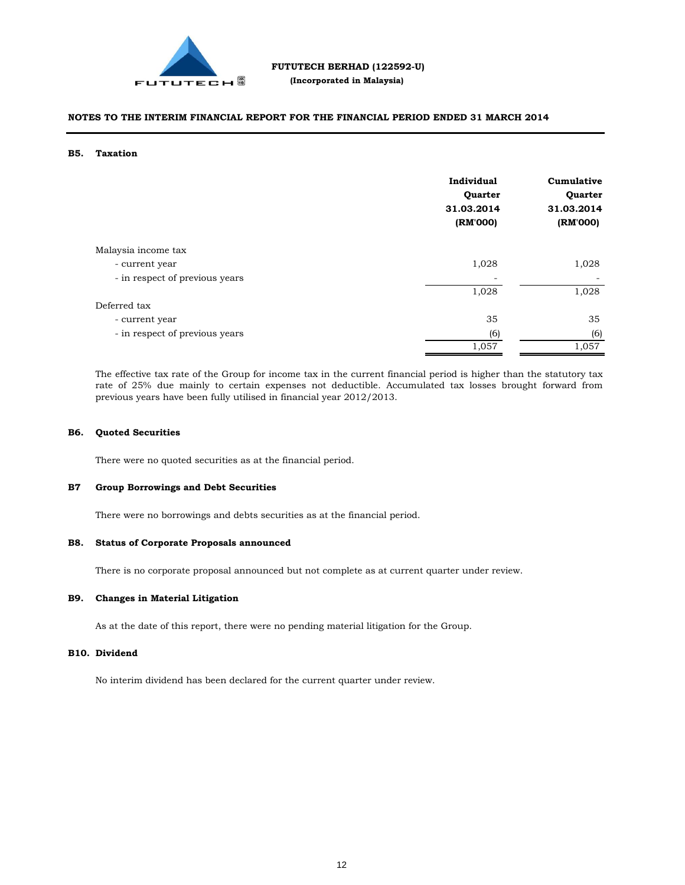

#### **B5. Taxation**

|                                | Individual<br>Quarter<br>31.03.2014<br>(RM'000) | Cumulative<br>Quarter<br>31.03.2014<br>(RM'000) |
|--------------------------------|-------------------------------------------------|-------------------------------------------------|
| Malaysia income tax            |                                                 |                                                 |
| - current year                 | 1,028                                           | 1,028                                           |
| - in respect of previous years |                                                 |                                                 |
|                                | 1,028                                           | 1,028                                           |
| Deferred tax                   |                                                 |                                                 |
| - current year                 | 35                                              | 35                                              |
| - in respect of previous years | (6)                                             | (6)                                             |
|                                | 1,057                                           | 1,057                                           |

The effective tax rate of the Group for income tax in the current financial period is higher than the statutory tax rate of 25% due mainly to certain expenses not deductible. Accumulated tax losses brought forward from previous years have been fully utilised in financial year 2012/2013.

#### **B6. Quoted Securities**

There were no quoted securities as at the financial period.

#### **B7 Group Borrowings and Debt Securities**

There were no borrowings and debts securities as at the financial period.

#### **B8. Status of Corporate Proposals announced**

There is no corporate proposal announced but not complete as at current quarter under review.

#### **B9. Changes in Material Litigation**

As at the date of this report, there were no pending material litigation for the Group.

#### **B10. Dividend**

No interim dividend has been declared for the current quarter under review.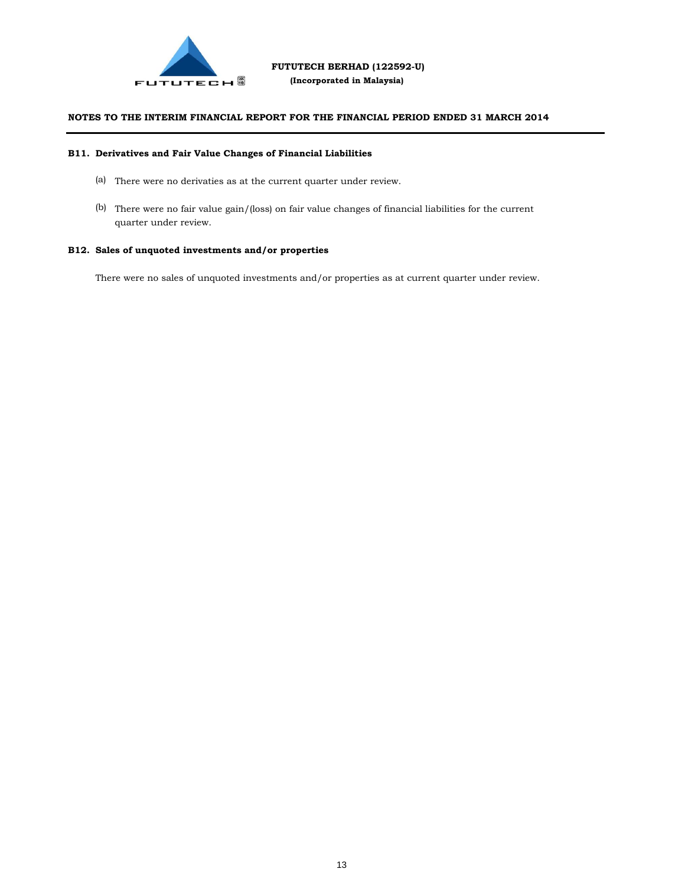

#### **B11. Derivatives and Fair Value Changes of Financial Liabilities**

- (a) There were no derivaties as at the current quarter under review.
- (b) There were no fair value gain/(loss) on fair value changes of financial liabilities for the current quarter under review.

### **B12. Sales of unquoted investments and/or properties**

There were no sales of unquoted investments and/or properties as at current quarter under review.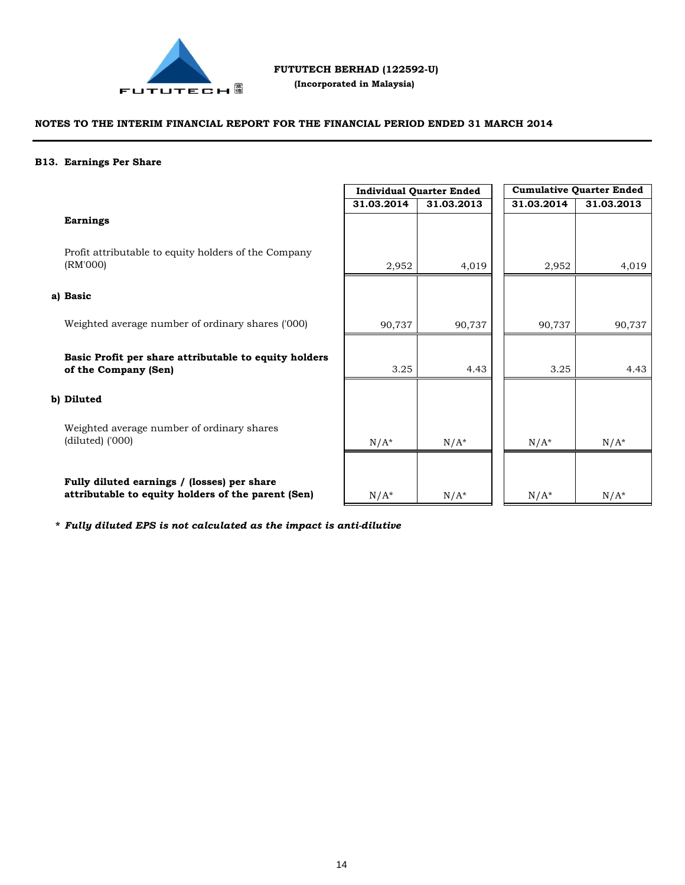

### **NOTES TO THE INTERIM FINANCIAL REPORT FOR THE FINANCIAL PERIOD ENDED 31 MARCH 2014**

#### **B13. Earnings Per Share**

|                                                                               | <b>Individual Quarter Ended</b> |            | <b>Cumulative Quarter Ended</b> |            |
|-------------------------------------------------------------------------------|---------------------------------|------------|---------------------------------|------------|
|                                                                               | 31.03.2014                      | 31.03.2013 | 31.03.2014                      | 31.03.2013 |
| <b>Earnings</b>                                                               |                                 |            |                                 |            |
| Profit attributable to equity holders of the Company<br>(RM'000)              | 2,952                           | 4,019      | 2,952                           | 4,019      |
| a) Basic                                                                      |                                 |            |                                 |            |
| Weighted average number of ordinary shares ('000)                             | 90,737                          | 90,737     | 90,737                          | 90,737     |
| Basic Profit per share attributable to equity holders<br>of the Company (Sen) | 3.25                            | 4.43       | 3.25                            | 4.43       |
| b) Diluted                                                                    |                                 |            |                                 |            |
| Weighted average number of ordinary shares<br>$(diluted)$ ('000)              | $N/A^*$                         | $N/A^*$    | $N/A^*$                         | $N/A^*$    |
| Fully diluted earnings / (losses) per share                                   |                                 |            |                                 |            |

 $N/A^*$   $N/A^*$   $N/A^*$   $N/A^*$   $N/A^*$ 

**\*** *Fully diluted EPS is not calculated as the impact is anti-dilutive*

**attributable to equity holders of the parent (Sen)**